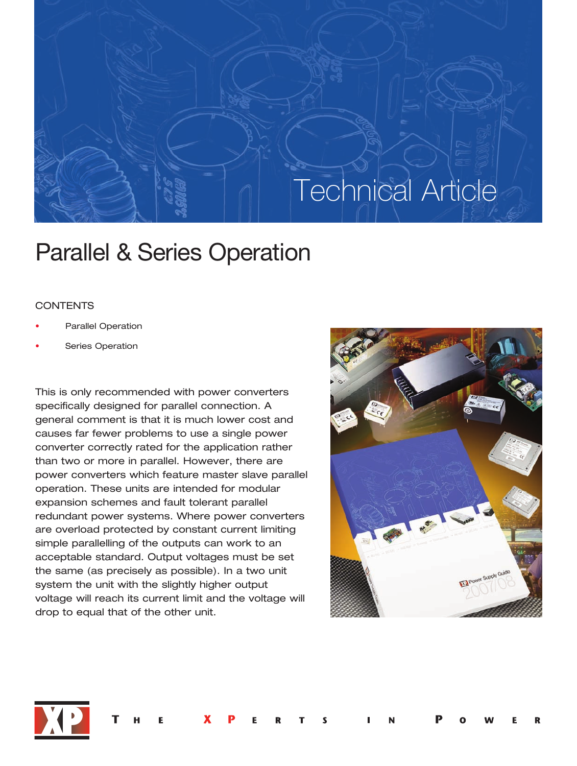# Technical Article

# Parallel & Series Operation

# **CONTENTS**

- Parallel Operation
- Series Operation

This is only recommended with power converters specifically designed for parallel connection. A general comment is that it is much lower cost and causes far fewer problems to use a single power converter correctly rated for the application rather than two or more in parallel. However, there are power converters which feature master slave parallel operation. These units are intended for modular expansion schemes and fault tolerant parallel redundant power systems. Where power converters are overload protected by constant current limiting simple parallelling of the outputs can work to an acceptable standard. Output voltages must be set the same (as precisely as possible). In a two unit system the unit with the slightly higher output voltage will reach its current limit and the voltage will drop to equal that of the other unit.



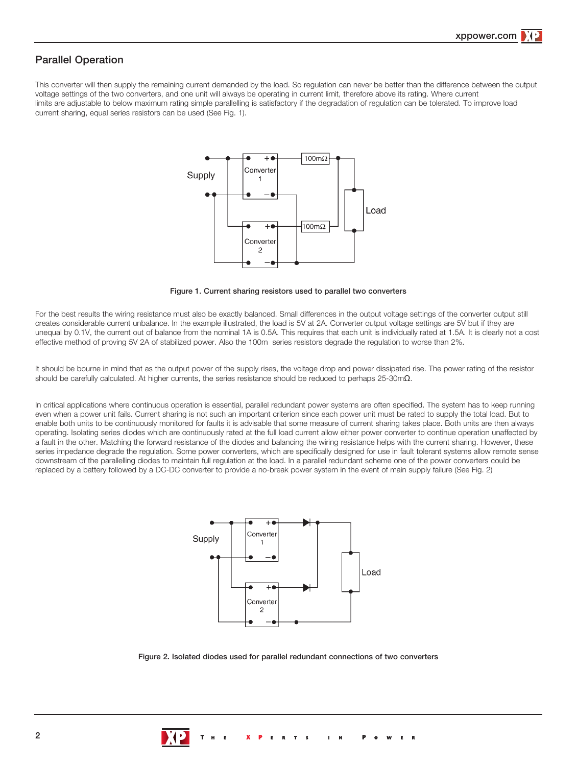# Parallel Operation

This converter will then supply the remaining current demanded by the load. So regulation can never be better than the difference between the output voltage settings of the two converters, and one unit will always be operating in current limit, therefore above its rating. Where current limits are adjustable to below maximum rating simple parallelling is satisfactory if the degradation of regulation can be tolerated. To improve load current sharing, equal series resistors can be used (See Fig. 1).



Figure 1. Current sharing resistors used to parallel two converters

For the best results the wiring resistance must also be exactly balanced. Small differences in the output voltage settings of the converter output still creates considerable current unbalance. In the example illustrated, the load is 5V at 2A. Converter output voltage settings are 5V but if they are unequal by 0.1V, the current out of balance from the nominal 1A is 0.5A. This requires that each unit is individually rated at 1.5A. It is clearly not a cost effective method of proving 5V 2A of stabilized power. Also the 100m series resistors degrade the regulation to worse than 2%.

It should be bourne in mind that as the output power of the supply rises, the voltage drop and power dissipated rise. The power rating of the resistor should be carefully calculated. At higher currents, the series resistance should be reduced to perhaps  $25$ -30m $\Omega$ .

In critical applications where continuous operation is essential, parallel redundant power systems are often specified. The system has to keep running even when a power unit fails. Current sharing is not such an important criterion since each power unit must be rated to supply the total load. But to enable both units to be continuously monitored for faults it is advisable that some measure of current sharing takes place. Both units are then always operating. Isolating series diodes which are continuously rated at the full load current allow either power converter to continue operation unaffected by a fault in the other. Matching the forward resistance of the diodes and balancing the wiring resistance helps with the current sharing. However, these series impedance degrade the regulation. Some power converters, which are specifically designed for use in fault tolerant systems allow remote sense downstream of the parallelling diodes to maintain full regulation at the load. In a parallel redundant scheme one of the power converters could be replaced by a battery followed by a DC-DC converter to provide a no-break power system in the event of main supply failure (See Fig. 2)



Figure 2. Isolated diodes used for parallel redundant connections of two converters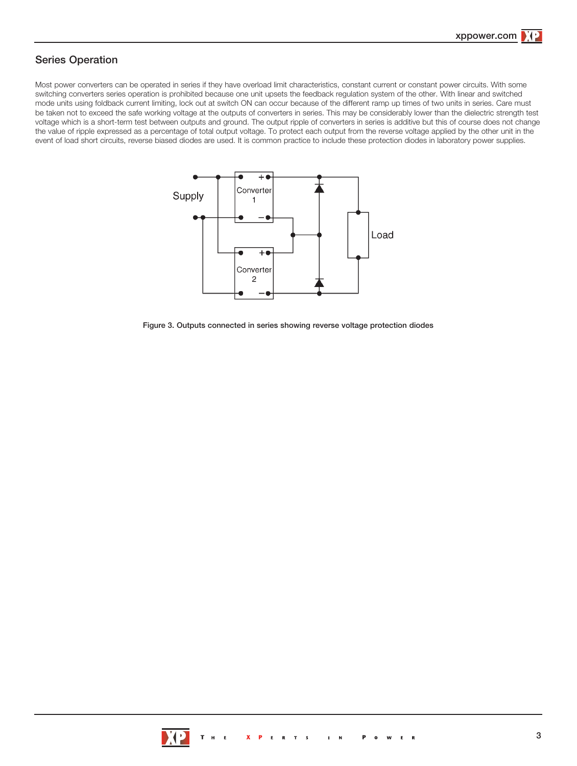# Series Operation

Most power converters can be operated in series if they have overload limit characteristics, constant current or constant power circuits. With some switching converters series operation is prohibited because one unit upsets the feedback regulation system of the other. With linear and switched mode units using foldback current limiting, lock out at switch ON can occur because of the different ramp up times of two units in series. Care must be taken not to exceed the safe working voltage at the outputs of converters in series. This may be considerably lower than the dielectric strength test voltage which is a short-term test between outputs and ground. The output ripple of converters in series is additive but this of course does not change the value of ripple expressed as a percentage of total output voltage. To protect each output from the reverse voltage applied by the other unit in the event of load short circuits, reverse biased diodes are used. It is common practice to include these protection diodes in laboratory power supplies.



Figure 3. Outputs connected in series showing reverse voltage protection diodes